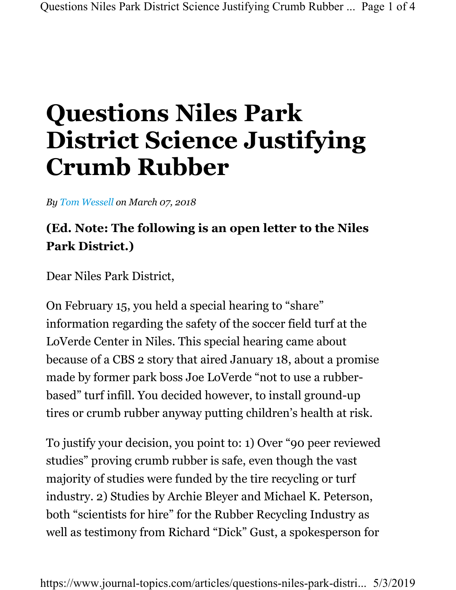## Questions Niles Park District Science Justifying Crumb Rubber

By Tom Wessell on March 07, 2018

## (Ed. Note: The following is an open letter to the Niles Park District.)

Dear Niles Park District,

On February 15, you held a special hearing to "share" information regarding the safety of the soccer field turf at the LoVerde Center in Niles. This special hearing came about because of a CBS 2 story that aired January 18, about a promise made by former park boss Joe LoVerde "not to use a rubberbased" turf infill. You decided however, to install ground-up tires or crumb rubber anyway putting children's health at risk.

To justify your decision, you point to: 1) Over "90 peer reviewed studies" proving crumb rubber is safe, even though the vast majority of studies were funded by the tire recycling or turf industry. 2) Studies by Archie Bleyer and Michael K. Peterson, both "scientists for hire" for the Rubber Recycling Industry as well as testimony from Richard "Dick" Gust, a spokesperson for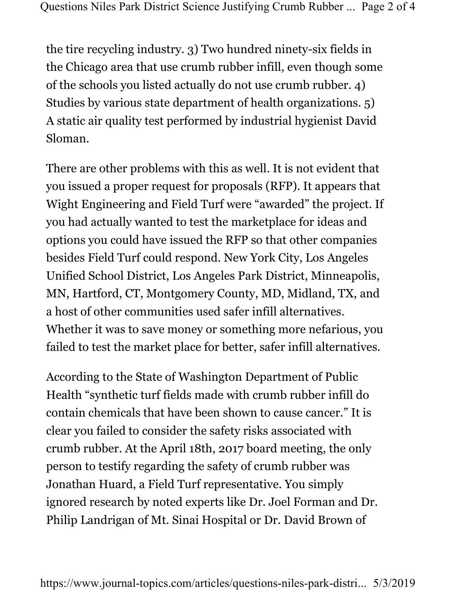the tire recycling industry. 3) Two hundred ninety-six fields in the Chicago area that use crumb rubber infill, even though some of the schools you listed actually do not use crumb rubber. 4) Studies by various state department of health organizations. 5) A static air quality test performed by industrial hygienist David Sloman.

There are other problems with this as well. It is not evident that you issued a proper request for proposals (RFP). It appears that Wight Engineering and Field Turf were "awarded" the project. If you had actually wanted to test the marketplace for ideas and options you could have issued the RFP so that other companies besides Field Turf could respond. New York City, Los Angeles Unified School District, Los Angeles Park District, Minneapolis, MN, Hartford, CT, Montgomery County, MD, Midland, TX, and a host of other communities used safer infill alternatives. Whether it was to save money or something more nefarious, you failed to test the market place for better, safer infill alternatives.

According to the State of Washington Department of Public Health "synthetic turf fields made with crumb rubber infill do contain chemicals that have been shown to cause cancer." It is clear you failed to consider the safety risks associated with crumb rubber. At the April 18th, 2017 board meeting, the only person to testify regarding the safety of crumb rubber was Jonathan Huard, a Field Turf representative. You simply ignored research by noted experts like Dr. Joel Forman and Dr. Philip Landrigan of Mt. Sinai Hospital or Dr. David Brown of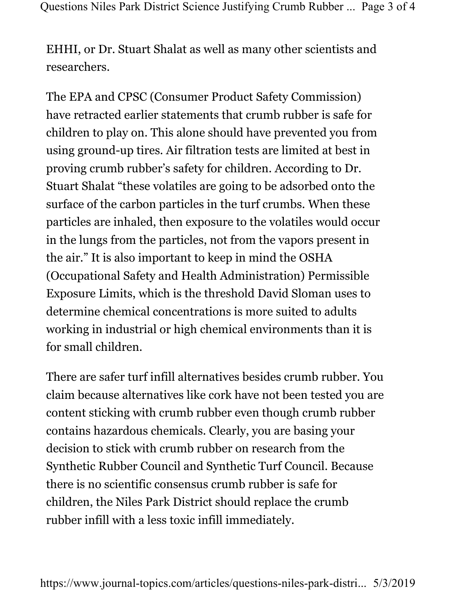EHHI, or Dr. Stuart Shalat as well as many other scientists and researchers.

The EPA and CPSC (Consumer Product Safety Commission) have retracted earlier statements that crumb rubber is safe for children to play on. This alone should have prevented you from using ground-up tires. Air filtration tests are limited at best in proving crumb rubber's safety for children. According to Dr. Stuart Shalat "these volatiles are going to be adsorbed onto the surface of the carbon particles in the turf crumbs. When these particles are inhaled, then exposure to the volatiles would occur in the lungs from the particles, not from the vapors present in the air." It is also important to keep in mind the OSHA (Occupational Safety and Health Administration) Permissible Exposure Limits, which is the threshold David Sloman uses to determine chemical concentrations is more suited to adults working in industrial or high chemical environments than it is for small children.

There are safer turf infill alternatives besides crumb rubber. You claim because alternatives like cork have not been tested you are content sticking with crumb rubber even though crumb rubber contains hazardous chemicals. Clearly, you are basing your decision to stick with crumb rubber on research from the Synthetic Rubber Council and Synthetic Turf Council. Because there is no scientific consensus crumb rubber is safe for children, the Niles Park District should replace the crumb rubber infill with a less toxic infill immediately.